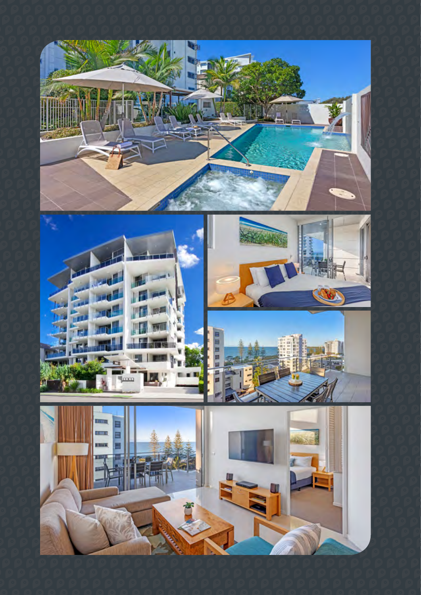